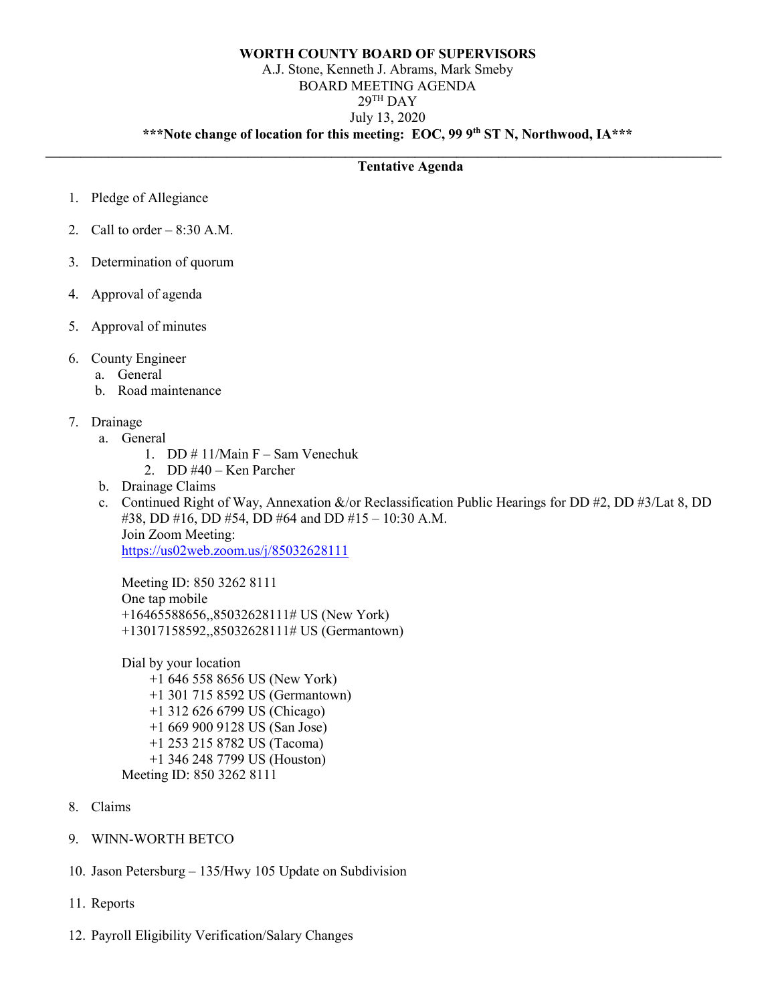### **WORTH COUNTY BOARD OF SUPERVISORS** A.J. Stone, Kenneth J. Abrams, Mark Smeby BOARD MEETING AGENDA  $29<sup>TH</sup>$  DAY July 13, 2020 **\*\*\*Note change of location for this meeting: EOC, 99 9th ST N, Northwood, IA\*\*\***

**\_\_\_\_\_\_\_\_\_\_\_\_\_\_\_\_\_\_\_\_\_\_\_\_\_\_\_\_\_\_\_\_\_\_\_\_\_\_\_\_\_\_\_\_\_\_\_\_\_\_\_\_\_\_\_\_\_\_\_\_\_\_\_\_\_\_\_\_\_\_\_\_\_\_\_\_\_\_\_\_\_\_\_\_\_\_\_\_\_\_\_\_\_\_\_\_\_**

## **Tentative Agenda**

- 1. Pledge of Allegiance
- 2. Call to order  $-8:30$  A.M.
- 3. Determination of quorum
- 4. Approval of agenda
- 5. Approval of minutes
- 6. County Engineer
	- a. General
	- b. Road maintenance
- 7. Drainage
	- a. General
		- 1. DD # 11/Main F Sam Venechuk
		- 2. DD #40 Ken Parcher
	- b. Drainage Claims
	- c. Continued Right of Way, Annexation &/or Reclassification Public Hearings for DD #2, DD #3/Lat 8, DD #38, DD #16, DD #54, DD #64 and DD #15 – 10:30 A.M. Join Zoom Meeting: <https://us02web.zoom.us/j/85032628111>

Meeting ID: 850 3262 8111 One tap mobile +16465588656,,85032628111# US (New York) +13017158592,,85032628111# US (Germantown)

Dial by your location +1 646 558 8656 US (New York) +1 301 715 8592 US (Germantown) +1 312 626 6799 US (Chicago) +1 669 900 9128 US (San Jose) +1 253 215 8782 US (Tacoma) +1 346 248 7799 US (Houston) Meeting ID: 850 3262 8111

- 8. Claims
- 9. WINN-WORTH BETCO
- 10. Jason Petersburg 135/Hwy 105 Update on Subdivision
- 11. Reports
- 12. Payroll Eligibility Verification/Salary Changes